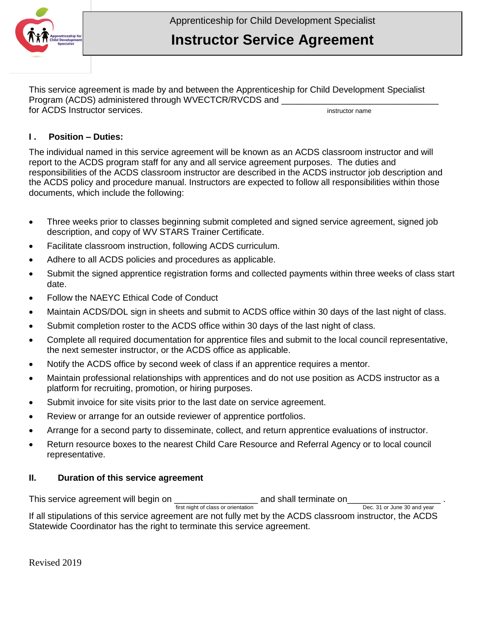

This service agreement is made by and between the Apprenticeship for Child Development Specialist Program (ACDS) administered through WVECTCR/RVCDS and \_\_\_\_\_\_\_\_\_\_\_\_\_\_\_\_\_\_\_\_\_\_\_\_\_\_ for ACDS Instructor services. **imaging the set of the services** instructor name

## **I . Position – Duties:**

The individual named in this service agreement will be known as an ACDS classroom instructor and will report to the ACDS program staff for any and all service agreement purposes. The duties and responsibilities of the ACDS classroom instructor are described in the ACDS instructor job description and the ACDS policy and procedure manual. Instructors are expected to follow all responsibilities within those documents, which include the following:

- Three weeks prior to classes beginning submit completed and signed service agreement, signed job description, and copy of WV STARS Trainer Certificate.
- Facilitate classroom instruction, following ACDS curriculum.
- Adhere to all ACDS policies and procedures as applicable.
- Submit the signed apprentice registration forms and collected payments within three weeks of class start date.
- Follow the NAEYC Ethical Code of Conduct
- Maintain ACDS/DOL sign in sheets and submit to ACDS office within 30 days of the last night of class.
- Submit completion roster to the ACDS office within 30 days of the last night of class.
- Complete all required documentation for apprentice files and submit to the local council representative, the next semester instructor, or the ACDS office as applicable.
- Notify the ACDS office by second week of class if an apprentice requires a mentor.
- Maintain professional relationships with apprentices and do not use position as ACDS instructor as a platform for recruiting, promotion, or hiring purposes.
- Submit invoice for site visits prior to the last date on service agreement.
- Review or arrange for an outside reviewer of apprentice portfolios.
- Arrange for a second party to disseminate, collect, and return apprentice evaluations of instructor.
- Return resource boxes to the nearest Child Care Resource and Referral Agency or to local council representative.

## **II. Duration of this service agreement**

This service agreement will begin on  $\frac{1}{\text{first night of class or orientation}}$  and shall terminate on Dec. 31 or June 30 and year first night of class or orientation If all stipulations of this service agreement are not fully met by the ACDS classroom instructor, the ACDS Statewide Coordinator has the right to terminate this service agreement.

Revised 2019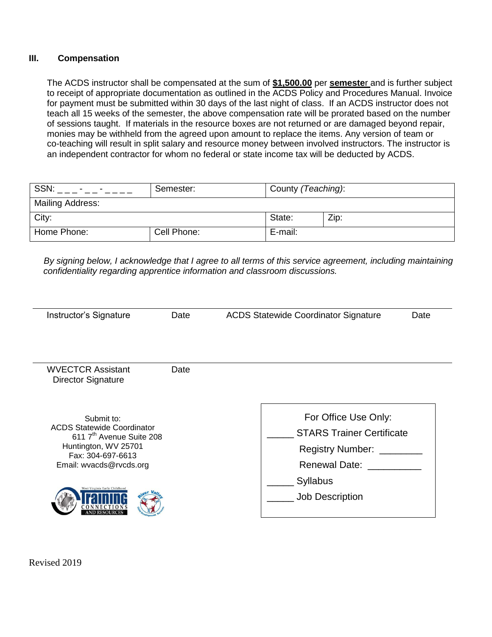## **III. Compensation**

The ACDS instructor shall be compensated at the sum of **\$1,500.00** per **semeste**r and is further subject to receipt of appropriate documentation as outlined in the ACDS Policy and Procedures Manual. Invoice for payment must be submitted within 30 days of the last night of class. If an ACDS instructor does not teach all 15 weeks of the semester, the above compensation rate will be prorated based on the number of sessions taught. If materials in the resource boxes are not returned or are damaged beyond repair, monies may be withheld from the agreed upon amount to replace the items. Any version of team or co-teaching will result in split salary and resource money between involved instructors. The instructor is an independent contractor for whom no federal or state income tax will be deducted by ACDS.

| SSN:                    | Semester:   | County (Teaching): |      |
|-------------------------|-------------|--------------------|------|
| <b>Mailing Address:</b> |             |                    |      |
| City:                   |             | State:             | Zip: |
| Home Phone:             | Cell Phone: | E-mail:            |      |

 *By signing below, I acknowledge that I agree to all terms of this service agreement, including maintaining confidentiality regarding apprentice information and classroom discussions.*

| Instructor's Signature                                                                                                                                          | Date | <b>ACDS Statewide Coordinator Signature</b>                                                                 | Date |
|-----------------------------------------------------------------------------------------------------------------------------------------------------------------|------|-------------------------------------------------------------------------------------------------------------|------|
| <b>WVECTCR Assistant</b><br><b>Director Signature</b>                                                                                                           | Date |                                                                                                             |      |
| Submit to:<br><b>ACDS Statewide Coordinator</b><br>611 7 <sup>th</sup> Avenue Suite 208<br>Huntington, WV 25701<br>Fax: 304-697-6613<br>Email: wvacds@rvcds.org |      | For Office Use Only:<br><b>STARS Trainer Certificate</b><br><b>Registry Number:</b><br><b>Renewal Date:</b> |      |
| lest Virginia Early Childhood                                                                                                                                   |      | <b>Syllabus</b><br><b>Job Description</b>                                                                   |      |

Revised 2019